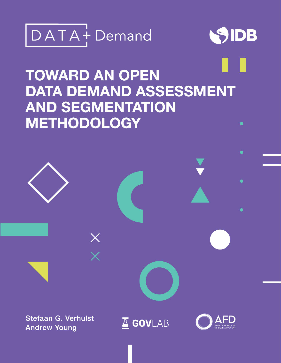



 $\bullet$ 

# **TOWARD AN OPEN DATA DEMAND ASSESSMENT AND SEGMENTATION METHODOLOGY**

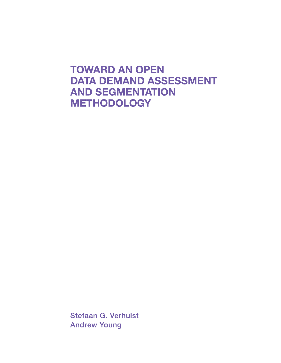# **TOWARD AN OPEN DATA DEMAND ASSESSMENT AND SEGMENTATION METHODOLOGY**

**Stefaan G. Verhulst Andrew Young**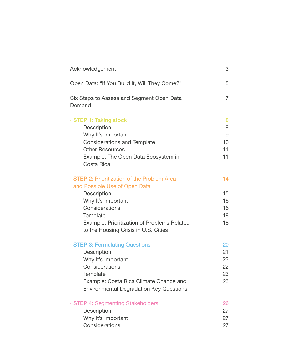| Acknowledgement                                                                                                                                                                                                                                | 3                                |
|------------------------------------------------------------------------------------------------------------------------------------------------------------------------------------------------------------------------------------------------|----------------------------------|
| Open Data: "If You Build It, Will They Come?"                                                                                                                                                                                                  | 5                                |
| Six Steps to Assess and Segment Open Data<br>Demand                                                                                                                                                                                            | $\overline{7}$                   |
| · STEP 1: Taking stock<br>Description<br>Why It's Important<br><b>Considerations and Template</b><br><b>Other Resources</b><br>Example: The Open Data Ecosystem in<br>Costa Rica                                                               | 8<br>9<br>9<br>10<br>11<br>11    |
| . STEP 2: Prioritization of the Problem Area<br>and Possible Use of Open Data<br>Description<br>Why It's Important<br>Considerations<br>Template<br><b>Example: Prioritization of Problems Related</b><br>to the Housing Crisis in U.S. Cities | 14<br>15<br>16<br>16<br>18<br>18 |
| · STEP 3: Formulating Questions<br>Description<br>Why It's Important<br>Considerations<br>Template<br>Example: Costa Rica Climate Change and<br><b>Environmental Degradation Key Questions</b>                                                 | 20<br>21<br>22<br>22<br>23<br>23 |
| · STEP 4: Segmenting Stakeholders<br>Description<br>Why It's Important<br>Considerations                                                                                                                                                       | 26<br>27<br>27<br>27             |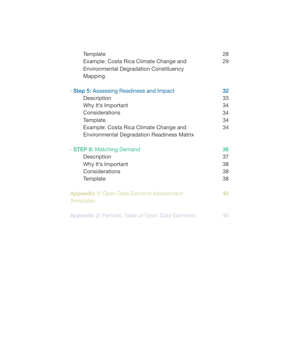| Template<br>Example: Costa Rica Climate Change and<br><b>Environmental Degradation Constituency</b><br>Mapping                                                                                             | 28<br>29                         |
|------------------------------------------------------------------------------------------------------------------------------------------------------------------------------------------------------------|----------------------------------|
| · Step 5: Assessing Readiness and Impact<br>Description<br>Why It's Important<br>Considerations<br>Template<br>Example: Costa Rica Climate Change and<br><b>Environmental Degradation Readiness Matrix</b> | 32<br>33<br>34<br>34<br>34<br>34 |
| · STEP 6: Matching Demand<br>Description<br>Why It's Important<br>Considerations<br>Template                                                                                                               | 36<br>37<br>38<br>38<br>38       |
| <b>Appendix 1: Open Data Demand Assessment</b><br><b>Templates</b>                                                                                                                                         | 40                               |
| <b>Appendix 2: Periodic Table of Open Data Elements</b>                                                                                                                                                    | 46                               |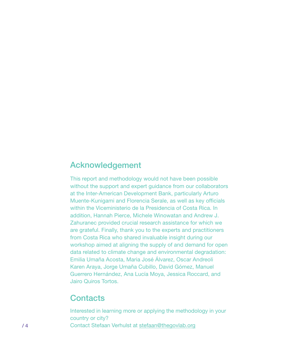#### Acknowledgement

This report and methodology would not have been possible without the support and expert guidance from our collaborators at the Inter-American Development Bank, particularly Arturo Muente-Kunigami and Florencia Serale, as well as key officials within the Viceministerio de la Presidencia of Costa Rica. In addition, Hannah Pierce, Michele Winowatan and Andrew J. Zahuranec provided crucial research assistance for which we are grateful. Finally, thank you to the experts and practitioners from Costa Rica who shared invaluable insight during our workshop aimed at aligning the supply of and demand for open data related to climate change and environmental degradation: Emilia Umaña Acosta, Maria José Álvarez, Oscar Andreoli Karen Araya, Jorge Umaña Cubillo, David Gómez, Manuel Guerrero Hernández, Ana Lucía Moya, Jessica Roccard, and Jairo Quiros Tortos.

#### **Contacts**

Interested in learning more or applying the methodology in your country or city? / 4 Contact Stefaan Verhulst at [stefaan@thegovlab.org](mailto:stefaan@thegovlab.org)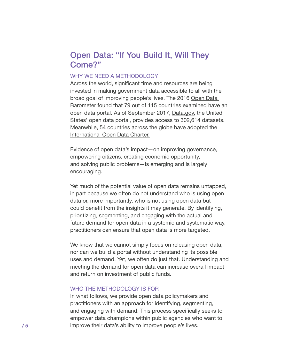### Open Data: "If You Build It, Will They Come?"

#### WHY WE NEED A METHODOLOGY

Across the world, significant time and resources are being invested in making government data accessible to all with the broad goal of improving people's lives. The 2016 Open Data [Barometer](https://opendatabarometer.org/4thedition/report/) found that 79 out of 115 countries examined have an open data portal. As of September 2017, [Data.gov](https://www.data.gov/), the United States' open data portal, provides access to 302,614 datasets. Meanwhile, [54 countries](https://opendatacharter.net/adopted-by-countries-and-cities/) across the globe have adopted the [International Open Data Charter.](https://opendatacharter.net/)

Evidence of [open data's impact](http://odimpact.org/)—on improving governance, empowering citizens, creating economic opportunity, and solving public problems—is emerging and is largely encouraging.

Yet much of the potential value of open data remains untapped, in part because we often do not understand who is using open data or, more importantly, who is not using open data but could benefit from the insights it may generate. By identifying, prioritizing, segmenting, and engaging with the actual and future demand for open data in a systemic and systematic way, practitioners can ensure that open data is more targeted.

We know that we cannot simply focus on releasing open data, nor can we build a portal without understanding its possible uses and demand. Yet, we often do just that. Understanding and meeting the demand for open data can increase overall impact and return on investment of public funds.

#### WHO THE METHODOLOGY IS FOR

In what follows, we provide open data policymakers and practitioners with an approach for identifying, segmenting, and engaging with demand. This process specifically seeks to empower data champions within public agencies who want to improve their data's ability to improve people's lives.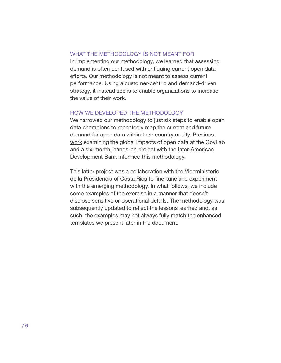#### WHAT THE METHODOLOGY IS NOT MEANT FOR

In implementing our methodology, we learned that assessing demand is often confused with critiquing current open data efforts. Our methodology is not meant to assess current performance. Using a customer-centric and demand-driven strategy, it instead seeks to enable organizations to increase the value of their work.

#### HOW WE DEVELOPED THE METHODOLOGY

We narrowed our methodology to just six steps to enable open data champions to repeatedly map the current and future demand for open data within their country or city. [Previous](http://odimpact.org/)  [work](http://odimpact.org/) examining the global impacts of open data at the GovLab and a six-month, hands-on project with the Inter-American Development Bank informed this methodology.

This latter project was a collaboration with the Viceministerio de la Presidencia of Costa Rica to fine-tune and experiment with the emerging methodology. In what follows, we include some examples of the exercise in a manner that doesn't disclose sensitive or operational details. The methodology was subsequently updated to reflect the lessons learned and, as such, the examples may not always fully match the enhanced templates we present later in the document.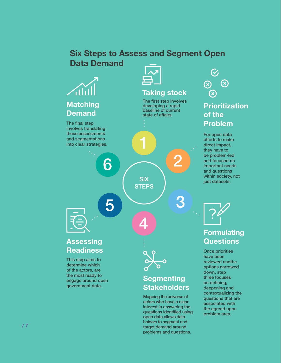# Six Steps to Assess and Segment Open Data Demand



The final step involves translating these assessments and segmentations into clear strategies.

6

5



#### Taking stock

The first step involves developing a rapid baseline of current state of affairs.



2

**STEPS** 

4

1

3

#### **Assessing Readiness**

This step aims to determine which of the actors, are the most ready to engage around open government data.



### **Segmenting Stakeholders**

Mapping the universe of actors who have a clear interest in answering the questions identified using open data allows data holders to segment and target demand around problems and questions.



For open data efforts to make direct impact, they have to be problem-led and focused on important needs and questions within society, not just datasets.

#### **Formulating Questions**

Once priorities have been reviewed andthe options narrowed down, step three focuses on defining, deepening and contextualizing the questions that are associated with the agreed upon problem area.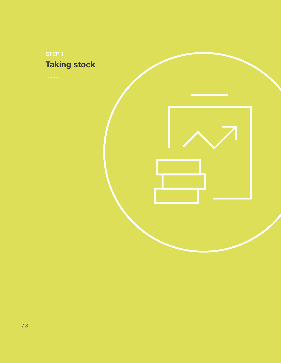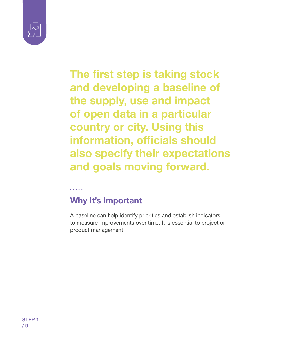

The first step is taking stock and developing a baseline of the supply, use and impact of open data in a particular country or city. Using this information, officials should also specify their expectations and goals moving forward.

# Why It's Important

. . . . .

A baseline can help identify priorities and establish indicators to measure improvements over time. It is essential to project or product management.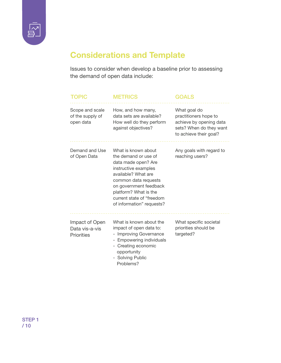

# Considerations and Template

Issues to consider when develop a baseline prior to assessing the demand of open data include:

| TOPIC                                            | <b>METRICS</b>                                                                                                                                                                                                                                         | <b>GOALS</b>                                                                                                          |
|--------------------------------------------------|--------------------------------------------------------------------------------------------------------------------------------------------------------------------------------------------------------------------------------------------------------|-----------------------------------------------------------------------------------------------------------------------|
| Scope and scale<br>of the supply of<br>open data | How, and how many,<br>data sets are available?<br>How well do they perform<br>against objectives?                                                                                                                                                      | What goal do<br>practitioners hope to<br>achieve by opening data<br>sets? When do they want<br>to achieve their goal? |
| Demand and Use<br>of Open Data                   | What is known about<br>the demand or use of<br>data made open? Are<br>instructive examples<br>available? What are<br>common data requests<br>on government feedback<br>platform? What is the<br>current state of "freedom<br>of information" requests? | Any goals with regard to<br>reaching users?                                                                           |
| Impact of Open<br>Data vis-a-vis<br>Priorities   | What is known about the<br>impact of open data to:<br>- Improving Governance<br>- Empowering individuals<br>- Creating economic<br>opportunity<br>- Solving Public<br>Problems?                                                                        | What specific societal<br>priorities should be<br>targeted?                                                           |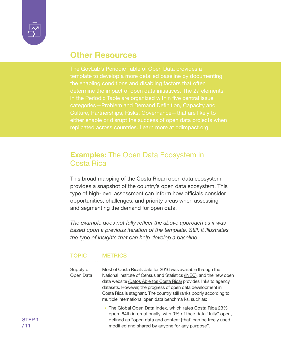

#### Other Resources

template to develop a more detailed baseline by documenting the enabling conditions and disabling factors that often determine the impact of open data initiatives. The 27 elements replicated across countries. Learn more at [odimpact.org](http://odimpact.org)

#### **Examples:** The Open Data Ecosystem in Costa Rica

This broad mapping of the Costa Rican open data ecosystem provides a snapshot of the country's open data ecosystem. This type of high-level assessment can inform how officials consider opportunities, challenges, and priority areas when assessing and segmenting the demand for open data.

*The example does not fully reflect the above approach as it was based upon a previous iteration of the template. Still, it illustrates the type of insights that can help develop a baseline.*

#### TOPIC METRICS

Supply of Open Data Most of Costa Rica's data for 2016 was available through the National Institute of Census and Statistics [\(INEC\)](http://www.inec.go.cr), and the new open data website [\(Datos Abiertos Costa Rica\)](http://datosabiertos.presidencia.go.cr/home) provides links to agency datasets. However, the progress of open data development in Costa Rica is stagnant. The country still ranks poorly according to multiple international open data benchmarks, such as:

> • The [Global Open Data Index,](https://index.okfn.org/place/?filter-table=costa+rica) which rates Costa Rica 23% open, 64th internationally, with 0% of their data "fully" open, defined as "open data and content [that] can be freely used, modified and shared by anyone for any purpose".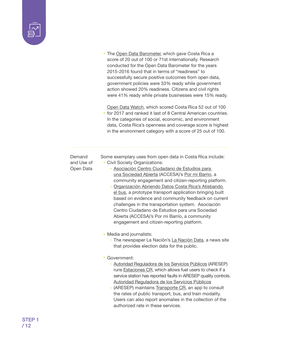

|                                   | • The Open Data Barometer, which gave Costa Rica a<br>score of 20 out of 100 or 71st internationally. Research<br>conducted for the Open Data Barometer for the years<br>2015-2016 found that in terms of "readiness" to<br>successfully secure positive outcomes from open data,<br>government policies were 33% ready while government<br>action showed 20% readiness. Citizens and civil rights<br>were 41% ready while private businesses were 15% ready.<br>Open Data Watch, which scored Costa Rica 52 out of 100<br>for 2017 and ranked it last of 8 Central American countries.<br>In the categories of social, economic, and environment<br>data, Costa Rica's openness and coverage score is highest<br>in the environment category with a score of 25 out of 100. |
|-----------------------------------|------------------------------------------------------------------------------------------------------------------------------------------------------------------------------------------------------------------------------------------------------------------------------------------------------------------------------------------------------------------------------------------------------------------------------------------------------------------------------------------------------------------------------------------------------------------------------------------------------------------------------------------------------------------------------------------------------------------------------------------------------------------------------|
| Demand<br>and Use of<br>Open Data | Some exemplary uses from open data in Costa Rica include:<br>• Civil Society Organizations:<br>- Asociación Centro Ciudadano de Estudios para<br>una Sociedad Abierta (ACCESA)'s Por mi Barrio, a<br>community engagement and citizen-reporting platform.<br>- Organización Abriendo Datos Costa Rica's Atisbando<br>el bus, a prototype transport application bringing built<br>based on evidence and community feedback on current<br>challenges in the transportation system. Asociación<br>Centro Ciudadano de Estudios para una Sociedad<br>Abierta (ACCESA)'s Por mi Barrio, a community<br>engagement and citizen-reporting platform.                                                                                                                                 |
|                                   | • Media and journalists:<br>- The newspaper La Nación's La Nación Data, a news site<br>that provides election data for the public.<br>Government:<br>- Autoridad Reguladora de los Servicios Públicos (ARESEP)<br>runs Estaciones CR, which allows fuel users to check if a<br>service station has reported faults in ARESEP quality controls.<br>Autoridad Reguladora de los Servicios Públicos<br>- (ARESEP) maintains Transporte CR, an app to consult<br>the rates of public transport, bus, and train modality.<br>Users can also report anomalies in the collection of the<br>authorized rate in these services.                                                                                                                                                       |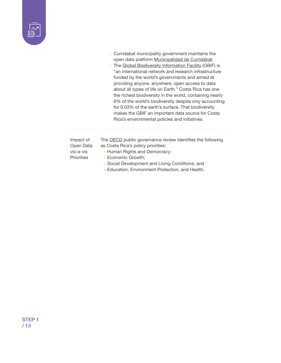

- Curridabat municipality government maintains the open data platform [Municipalidad de Curridabat.](http://www.curridabat.go.cr/)
- The [Global Biodiversity Information Facility](https://www.gbif.org/project/82989/crbio-atlas-of-living-costa-rica) (GBIF) is "an international network and research infrastructure funded by the world's governments and aimed at providing anyone, anywhere, open access to data about all types of life on Earth." Costa Rica has one the richest biodiversity in the world, containing nearly 6% of the world's biodiversity despite only accounting for 0.03% of the earth's surface. That biodiversity makes the GBIF an important data source for Costa Rica's environmental policies and initiatives.

Impact of Open Data vis-a-vis **Priorities** 

The [OECD p](https://www.oecd.org/gov/bycountry/costarica/costa-rica-highlights.pdf)ublic governance review identifies the following as Costa Rica's policy priorities:

- Human Rights and Democracy;
- Economic Growth;
- Social Development and Living Conditions; and
- Education, Environment Protection, and Health.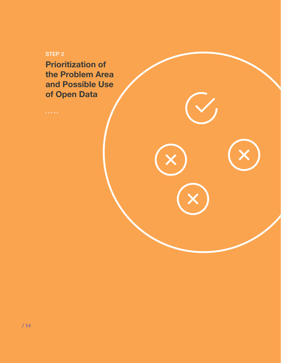STEP 2

Prioritization of the Problem Area and Possible Use of Open Data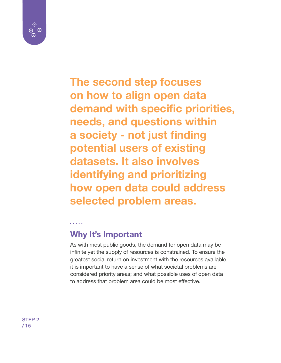

The second step focuses on how to align open data demand with specific priorities, needs, and questions within a society - not just finding potential users of existing datasets. It also involves identifying and prioritizing how open data could address selected problem areas.

# Why It's Important

. . . . .

As with most public goods, the demand for open data may be infinite yet the supply of resources is constrained. To ensure the greatest social return on investment with the resources available, it is important to have a sense of what societal problems are considered priority areas; and what possible uses of open data to address that problem area could be most effective.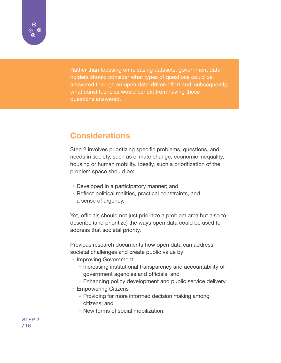Rather than focusing on releasing datasets, government data holders should consider what types of questions could be answered through an open data-driven effort and, subsequently, what constituencies would benefit from having those questions answered.

### **Considerations**

Step 2 involves prioritizing specific problems, questions, and needs in society, such as climate change, economic inequality, housing or human mobility. Ideally, such a prioritization of the problem space should be:

- Developed in a participatory manner; and
- Reflect political realities, practical constraints, and a sense of urgency.

Yet, officials should not just prioritize a problem area but also to describe (and prioritize) the ways open data could be used to address that societal priority.

[Previous research](http://odimpact.org/) documents how open data can address societal challenges and create public value by:

- Improving Government
	- Increasing institutional transparency and accountability of government agencies and officials; and
	- Enhancing policy development and public service delivery.
- **Empowering Citizens** 
	- Providing for more informed decision making among citizens; and
	- New forms of social mobilization.

 $\odot$  $\circledcirc$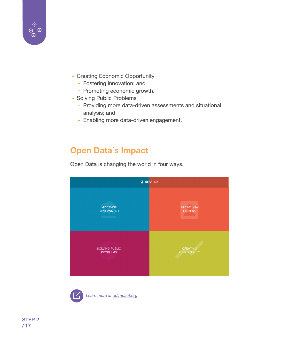

- Creating Economic Opportunity
	- Fostering innovation; and
	- Promoting economic growth.
- Solving Public Problems
	- Providing more data-driven assessments and situational analysis; and
	- Enabling more data-driven engagement.

## Open Data´s Impact



Open Data is changing the world in four ways.

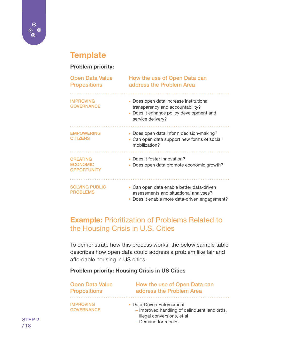

## **Template**

#### Problem priority:

| <b>Open Data Value</b><br><b>Propositions</b>            | How the use of Open Data can<br>address the Problem Area                                                                                 |
|----------------------------------------------------------|------------------------------------------------------------------------------------------------------------------------------------------|
| <b>IMPROVING</b><br><b>GOVERNANCE</b>                    | Does open data increase institutional<br>transparency and accountability?<br>Does it enhance policy development and<br>service delivery? |
| <b>EMPOWERING</b><br><b>CITIZENS</b>                     | Does open data inform decision-making?<br>Can open data support new forms of social<br>mobilization?                                     |
| <b>CREATING</b><br><b>ECONOMIC</b><br><b>OPPORTUNITY</b> | Does it foster Innovation?<br>Does open data promote economic growth?                                                                    |
| <b>SOLVING PUBLIC</b><br><b>PROBLEMS</b>                 | Can open data enable better data-driven<br>assessments and situational analyses?<br>Does it enable more data-driven engagement?          |

#### Example: Prioritization of Problems Related to the Housing Crisis in U.S. Cities

To demonstrate how this process works, the below sample table describes how open data could address a problem like fair and affordable housing in US cities.

#### Problem priority: Housing Crisis in US Cities

| <b>Open Data Value</b>                | How the use of Open Data can                                                                                                  |
|---------------------------------------|-------------------------------------------------------------------------------------------------------------------------------|
| <b>Propositions</b>                   | address the Problem Area                                                                                                      |
| <b>IMPROVING</b><br><b>GOVERNANCE</b> | Data-Driven Enforcement<br>- Improved handling of delinquent landlords,<br>illegal conversions, et al<br>- Demand for repairs |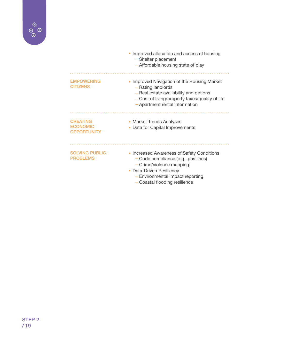|                                                          | Improved allocation and access of housing<br>- Shelter placement<br>- Affordable housing state of play                                                                                                           |
|----------------------------------------------------------|------------------------------------------------------------------------------------------------------------------------------------------------------------------------------------------------------------------|
| <b>EMPOWERING</b><br><b>CITIZENS</b>                     | Improved Navigation of the Housing Market<br>- Rating landlords<br>- Real estate availability and options<br>- Cost of living/property taxes/quality of life<br>- Apartment rental information                   |
| <b>CREATING</b><br><b>ECONOMIC</b><br><b>OPPORTUNITY</b> | • Market Trends Analyses<br>Data for Capital Improvements                                                                                                                                                        |
| <b>SOLVING PUBLIC</b><br><b>PROBLEMS</b>                 | • Increased Awareness of Safety Conditions<br>- Code compliance (e.g., gas lines)<br>$-$ Crime/violence mapping<br>• Data-Driven Resiliency<br>- Environmental impact reporting<br>- Coastal flooding resilience |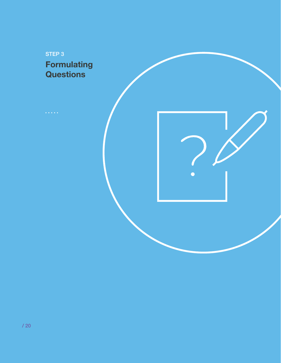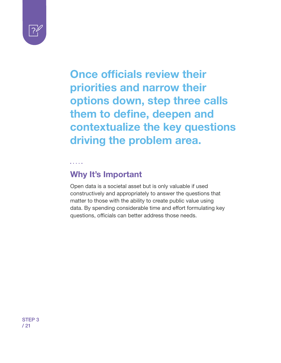

Once officials review their priorities and narrow their options down, step three calls them to define, deepen and contextualize the key questions driving the problem area.

# Why It's Important

. . . . .

Open data is a societal asset but is only valuable if used constructively and appropriately to answer the questions that matter to those with the ability to create public value using data. By spending considerable time and effort formulating key questions, officials can better address those needs.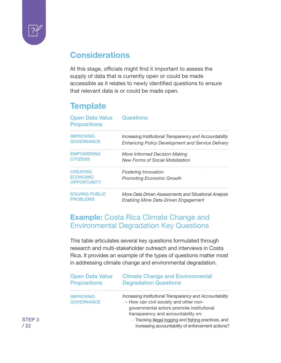

# **Considerations**

At this stage, officials might find it important to assess the supply of data that is currently open or could be made accessible as it relates to newly identified questions to ensure that relevant data is or could be made open.

# **Template**

| <b>Open Data Value</b><br><b>Propositions</b>            | <b>Questions</b>                                                |
|----------------------------------------------------------|-----------------------------------------------------------------|
| <b>IMPROVING</b>                                         | Increasing Institutional Transparency and Accountability        |
| <b>GOVERNANCE</b>                                        | <b>Enhancing Policy Development and Service Delivery</b>        |
| <b>EMPOWERING</b>                                        | More Informed Decision Making                                   |
| <b>CITIZENS</b>                                          | <b>New Forms of Social Mobilization</b>                         |
| <b>CREATING</b><br><b>ECONOMIC</b><br><b>OPPORTUNITY</b> | <b>Fostering Innovation</b><br><b>Promoting Economic Growth</b> |
| <b>SOLVING PUBLIC</b>                                    | More Data Driven Assessments and Situational Analysis           |
| <b>PROBLEMS</b>                                          | <b>Enabling More Data-Driven Engagement</b>                     |

#### Example: Costa Rica Climate Change and Environmental Degradation Key Questions

This table articulates several key questions formulated through research and multi-stakeholder outreach and interviews in Costa Rica. It provides an example of the types of questions matter most in addressing climate change and environmental degradation.

| <b>Open Data Value</b>                | <b>Climate Change and Environmental</b>                                                                                                                                                                                                                                                              |
|---------------------------------------|------------------------------------------------------------------------------------------------------------------------------------------------------------------------------------------------------------------------------------------------------------------------------------------------------|
| <b>Propositions</b>                   | <b>Degradation Questions</b>                                                                                                                                                                                                                                                                         |
| <b>IMPROVING</b><br><b>GOVERNANCE</b> | Increasing Institutional Transparency and Accountability<br>• How can civil society and other non-<br>governmental actors promote institutional<br>transparency and accountability on:<br>- Tracking illegal logging and fishing practices, and<br>increasing accountability of enforcement actions? |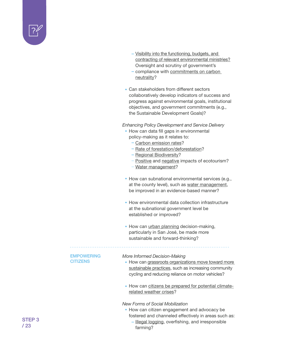

- [Visibility into the functioning, budgets, and](http://datosabiertos.presidencia.go.cr/home)  [contracting of relevant environmental ministries](http://datosabiertos.presidencia.go.cr/home)? Oversight and scrutiny of government's
- compliance with commitments on carbon [neutrality](http://www.worldwatch.org/node/4958)?
- Can stakeholders from different sectors collaboratively develop indicators of success and progress against environmental goals, institutional objectives, and government commitments (e.g., the Sustainable Development Goals)?

*Enhancing Policy Development and Service Delivery*

- How can data fill gaps in environmental policy-making as it relates to:
	- [Carbon emission rates?](https://climateactiontracker.org/countries/costa-rica/)
	- [Rate of forestation/deforestation?](https://www.globalforestwatch.org/country/CRI)
	- [Regional Biodiversity?](https://www.gbif.org/country/CR/summary)
	- [Positive](https://www.sciencedaily.com/releases/2014/02/140224171656.htm) and [negative](https://motherboard.vice.com/en_us/article/59jywz/ecotourism-in-costa-rica-is-putting-wildlife-at-risk?utm_source=mbtwitter) impacts of ecotourism?
	- [Water management?](http://qcostarica.com/the-water-crisis-a-new-water-law-for-costa-rica/)
- How can subnational environmental services (e.g., at the county level), such as [water management](http://www.crusa.cr/water-resources-management/), be improved in an evidence-based manner?
- How environmental data collection infrastructure at the subnational government level be established or improved?
- How can *urban planning* decision-making, particularly in San José, be made more sustainable and forward-thinking?

#### **EMPOWERING CITIZENS**

#### *More Informed Decision-Making*

- How can grassroots organizations move toward more [sustainable practices](http://neotropica.org/en/what-we-do/programs/), such as increasing community cycling and reducing reliance on motor vehicles?
- How can [citizens be prepared for potential climate](https://ac.els-cdn.com/S0142694X15000423/1-s2.0-S0142694X15000423-main.pdf?_tid=d7157678-4024-4409-b18d-40d100e38d76&acdnat=1525120739_4a92fd8ec1bdb789046f5f892fc76ebc)[related weather crises](https://ac.els-cdn.com/S0142694X15000423/1-s2.0-S0142694X15000423-main.pdf?_tid=d7157678-4024-4409-b18d-40d100e38d76&acdnat=1525120739_4a92fd8ec1bdb789046f5f892fc76ebc)?

#### *New Forms of Social Mobilization*

- How can citizen engagement and advocacy be fostered and channeled effectively in areas such as:
	- [Illegal logging,](https://forestsnews.cifor.org/361/even-costa-rica-has-illegal-logging?fnl=en) overfishing, and irresponsible farming?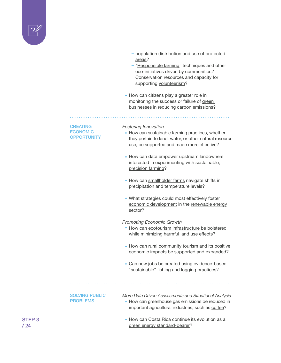

- population distribution and use of protected [areas](http://www.costaricabureau.com/nationalparks/index.html)?
- "Responsible farming" techniques and other eco-initiatives driven by communities?
- Conservation resources and capacity for supporting [volunteerism](http://www.asvocr.org/)?
- How can citizens play a greater role in monitoring the success or failure of [green](http://sustainable-tourism.co.cr/)  [businesses](http://sustainable-tourism.co.cr/) in reducing carbon emissions?

#### CREATING ECONOMIC **OPPORTUNITY**

#### *Fostering Innovation*

- How can sustainable farming practices, whether they pertain to land, water, or other natural resource use, be supported and made more effective?
- How can data empower upstream landowners interested in experimenting with sustainable, [precision farming?](http://www.agleader.com/blog/from-rice-to-pineapples-costa-rican-farmers-crave-precision-agriculture/)
- How can [smallholder farms](https://www.tandfonline.com/doi/full/10.1080/17565529.2018.1442796) navigate shifts in precipitation and temperature levels?
- What strategies could most effectively foster [economic development](https://www.cinde.org/en/rising-cities/clean-tech-sector) in the [renewable energy](https://www.independent.co.uk/news/world/americas/costa-rica-electricity-renewable-energy-300-days-2017-record-wind-hydro-solar-water-a8069111.html) sector?

#### *Promoting Economic Growth*

- How can [ecotourism infrastructure](http://www.umich.edu/~csfound/545/1998/narayans/chap07.htm) be bolstered while minimizing harmful land use effects?
- How can [rural community tourism](http://actuarcostarica.com/?page_id=233&lang=en) and its positive economic impacts be supported and expanded?
- Can new jobs be created using evidence-based "sustainable" fishing and logging practices?

SOLVING PUBLIC PROBLEMS

- *More Data Driven Assessments and Situational Analysis* • How can greenhouse gas emissions be reduced in important agricultural industries, such as [coffee?](https://thecostaricanews.com/costa-rica-seeks-produce-environmentally-friendly-coffee/)
	- How can Costa Rica continue its evolution as a green energy standard-bearer?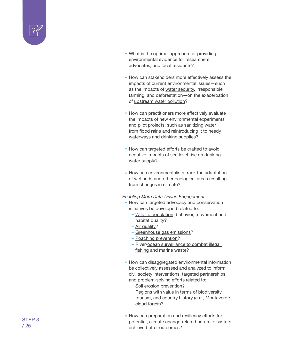

- What is the optimal approach for providing environmental evidence for researchers, advocates, and local residents?
- How can stakeholders more effectively assess the impacts of current environmental issues—such as the impacts of [water security,](https://h2osecurity.net/2017/05/10/water-insecurity-in-central-america/) irresponsible farming, and deforestation—on the exacerbation of [upstream water pollution](https://www.scidev.net/global/pollution/news/scientists-warn-of-toxins-in-costa-rican-drinking.html)?
- How can practitioners more effectively evaluate the impacts of new environmental experiments and pilot projects, such as sanitizing water from flood rains and reintroducing it to needy waterways and drinking supplies?
- How can targeted efforts be crafted to avoid negative impacts of sea level rise on [drinking](http://www.escapeartist.com/costa-rica/live/impacts-climate-change-costa-rica/)  [water supply](http://www.escapeartist.com/costa-rica/live/impacts-climate-change-costa-rica/)?
- How can environmentalists track the adaptation [of wetlands](http://www.ticotimes.net/2017/03/06/wetlands-costa-rica) and other ecological areas resulting from changes in climate?

#### *Enabling More Data-Driven Engagement*

- How can targeted advocacy and conservation initiatives be developed related to:
	- [Wildlife population,](http://www.hsi.org/news/press_releases/2016/02/cr-wildlife-stance-021816.html) behavior, movement and habitat quality?
	- [Air quality](https://news.co.cr/air-pollution-costa-rica-generates-health-problems-big-bills/61995/)?
	- [Greenhouse gas emissions?](http://qcostarica.com/costa-rica-among-the-highest-in-co2-emissions-in-central-amercia/)
	- [Poaching prevention?](https://www.scientificamerican.com/article/illegal-sea-turtle-egg-poaching-rise-costa-rica/)
	- River/ocean surveillance to combat illegal [fishing](http://www.oceanmind.global/conservation-international-and-oceanmind-announce-their-continued-partnership-to-combat-illegal-fishing-in-costa-rica/) and marine waste?
- How can disaggregated environmental information be collectively assessed and analyzed to inform civil society interventions, targeted partnerships, and problem-solving efforts related to:
	- [Soil erosion prevention](https://www.researchgate.net/publication/237021779_The_Extent_and_Economic_Impacts_of_Soil_Erosion_in_Costa_Rica)?
	- Regions with value in terms of biodiversity, tourism, and country history (e.g., [Monteverde](https://www.monteverdeinfo.com/cloud-forests)  [cloud forest](https://www.monteverdeinfo.com/cloud-forests))?
- How can preparation and resiliency efforts for [potential, climate change-related natural disasters](http://qcostarica.com/impacts-of-climate-change-on-costa-rica/) achieve better outcomes?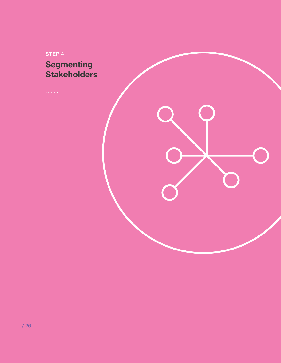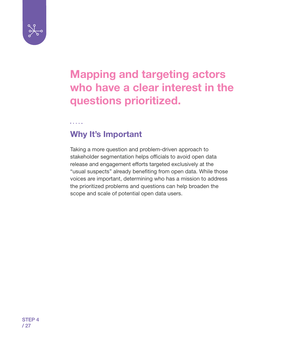

# Mapping and targeting actors who have a clear interest in the questions prioritized.

# Why It's Important

 $\sim$   $\sim$   $\sim$   $\sim$ 

Taking a more question and problem-driven approach to stakeholder segmentation helps officials to avoid open data release and engagement efforts targeted exclusively at the "usual suspects" already benefiting from open data. While those voices are important, determining who has a mission to address the prioritized problems and questions can help broaden the scope and scale of potential open data users.

STEP 4 / 27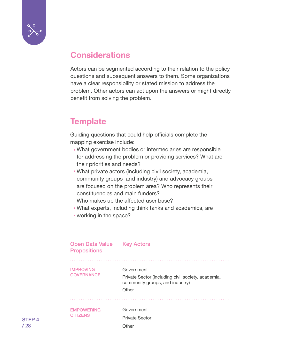

# **Considerations**

Actors can be segmented according to their relation to the policy questions and subsequent answers to them. Some organizations have a clear responsibility or stated mission to address the problem. Other actors can act upon the answers or might directly benefit from solving the problem.

# **Template**

Guiding questions that could help officials complete the mapping exercise include:

- What government bodies or intermediaries are responsible for addressing the problem or providing services? What are their priorities and needs?
- What private actors (including civil society, academia, community groups and industry) and advocacy groups are focused on the problem area? Who represents their constituencies and main funders?

Who makes up the affected user base?

- What experts, including think tanks and academics, are
- working in the space?

| <b>Open Data Value</b><br><b>Propositions</b> | <b>Key Actors</b>                                                                                            |
|-----------------------------------------------|--------------------------------------------------------------------------------------------------------------|
| <b>IMPROVING</b><br><b>GOVERNANCE</b>         | Government<br>Private Sector (including civil society, academia,<br>community groups, and industry)<br>Other |
| <b>EMPOWERING</b><br><b>CITIZENS</b>          | Government<br><b>Private Sector</b><br>Other                                                                 |

STEP 4 / 28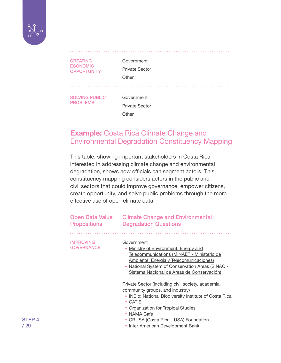

CREATING ECONOMIC **OPPORTUNITY**  Government Private Sector **Other** 

SOLVING PUBLIC PROBLEMS

**Government** Private Sector **Other** 

#### Example: Costa Rica Climate Change and Environmental Degradation Constituency Mapping

This table, showing important stakeholders in Costa Rica interested in addressing climate change and environmental degradation, shows how officials can segment actors. This constituency mapping considers actors in the public and civil sectors that could improve governance, empower citizens, create opportunity, and solve public problems through the more effective use of open climate data.

| <b>Open Data Value</b><br><b>Propositions</b> | <b>Climate Change and Environmental</b><br><b>Degradation Questions</b>                                                                                                                                                                                                                                   |
|-----------------------------------------------|-----------------------------------------------------------------------------------------------------------------------------------------------------------------------------------------------------------------------------------------------------------------------------------------------------------|
| <b>IMPROVING</b><br><b>GOVERNANCE</b>         | Government<br>• Ministry of Environment, Energy and<br>Telecommunications (MINAET - Ministerio de<br><b>Ambiente, Energía y Telecomunicaciones)</b><br>National System of Conservation Areas (SINAC -<br>Sistema Nacional de Áreas de Conservación)                                                       |
|                                               | Private Sector (including civil society, academia,<br>community groups, and industry)<br><b>INBio: National Biodiversity Institute of Costa Rica</b><br><b>CATIE</b><br><b>Organization for Tropical Studies</b><br>• NAMA Cafe<br>CRUSA (Costa Rica - USA) Foundation<br>Inter-American Development Bank |

STEP 4 / 29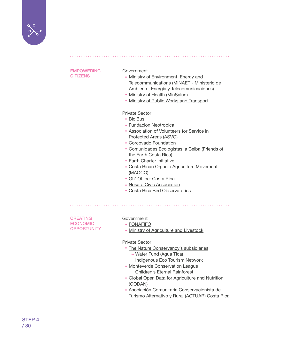

#### EMPOWERING **CITIZENS**

#### Government

- [Ministry of Environment, Energy and](http://www.minae.go.cr/) [Telecommunications \(MINAET - Ministerio de](http://www.minae.go.cr/) [Ambiente, Energía y Telecomunicaciones\)](http://www.minae.go.cr/)
- [Ministry of Health \(MinSalud\)](https://www.ministeriodesalud.go.cr/)
- [Ministry of Public Works and Transport](http://www.mopt.go.cr/wps/portal/Home/inicio/!ut/p/z1/hY9NT8MwDIZ_yw49pnHbDSFumQTVYNKAHehyQe7HkkCWVE42Pn49VTltKsIHS379vnpsLnnFpcOTURiNd2iHeSevXlePJWQPc1iX2V0G4knAdnubF5DP-ctogD9KAJf_5eVoucwtn_NlAVBu8knDGeKeS2V9_XuucHVxrbikbt9RR-mRBlnH2N8kkIDS7WeqO7RRtxgx9aQSGBo68z3-HBI4GGdCpC_WH2trGvbh6T0wdC2LhC70niJrfIjIyDQ4xdTDllcTLN4fKnhb2NNazGY_oD5dQQ!!/dz/d5/L2dBISEvZ0FBIS9nQSEh/)

#### Private Sector

- [BiciBus](https://www.facebook.com/BiciBusAlTrabajoEnBici/)
- [Fundacion Neotropica](http://neotropica.org/en/who-we-are/history/)
- [Association of Volunteers for Service in](http://www.asvocr.org/index.php/2017-12-04-05-47-41/quienes-somos)  [Protected Areas \(ASVO\)](http://www.asvocr.org/index.php/2017-12-04-05-47-41/quienes-somos)
- [Corcovado Foundation](http://www.corcovadofoundation.org/about-us/#mission)
- [Comunidades Ecologistas la Ceiba \(Friends of](https://www.foei.org/member-groups/latin-america-and-the-caribbean/costa-rica)  [the Earth Costa Rica\)](https://www.foei.org/member-groups/latin-america-and-the-caribbean/costa-rica)
- **[Earth Charter Initiative](http://earthcharter.org/)**
- [Costa Rican Organic Agriculture Movement](http://maoco.cr/)  [\(MAOCO\)](http://maoco.cr/)
- [GIZ Office: Costa Rica](https://www.giz.de/en/worldwide/393.html)
- [Nosara Civic Association](https://www.nosaracivicassociation.com/costa-ricas-solid-waste-management/)
- [Costa Rica Bird Observatories](http://costaricabird.org/)

**CREATING** ECONOMIC **OPPORTUNITY** 

#### Government

- [FONAFIFO](http://www.fonafifo.go.cr/home/about_us/index.html)
- [Ministry of Agriculture and Livestock](http://www.mag.go.cr/)

Private Sector

- [The Nature Conservancy's subsidiaries](https://www.nature.org/ourinitiatives/regions/latinamerica/costarica/explore/index.htm)
	- Water Fund (Agua Tica)
	- Indigenous Eco Tourism Network
- [Monteverde Conservation League](https://www.monteverdeinfo.com/community/monteverde-conservation-league) Children's Eternal Rainforest
- [Global Open Data for Agriculture and Nutrition](http://www.godan.info/)  [\(GODAN\)](http://www.godan.info/)
- [Asociación Comunitaria Conservacionista de](http://actuarcostarica.com/)  [Turismo Alternativo y Rural \(ACTUAR\) Costa Rica](http://actuarcostarica.com/)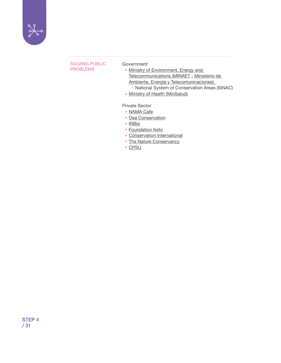

#### SOLVING PUBLIC PROBLEMS

#### Government

. . . . . . . . . . . .

• Ministry of Environment, Energy and [Telecommunications \(MINAET - Ministerio de](http://www.minae.go.cr/)  [Ambiente, Energía y Telecomunicaciones\)](http://www.minae.go.cr/) 

- [National System of Conservation Areas \(SINAC\)](http://www.sinac.go.cr/EN-US/Pages/default.aspx)

• [Ministry of Health \(MinSalud\)](https://www.ministeriodesalud.go.cr/)

Private Sector

- [NAMA Cafe](http://www.namacafe.org/)
- [Osa Conservation](http://osaconservation.org/projects/)
- $\cdot$  [INBio](http://www.inbio.ac.cr/en/que-es-inbio/acerca.html)
- [Foundation Keto](http://www.fundacionketo.org/conozcanos.php)
- [Conservation International](https://www.conservation.org/where/Pages/Costa-Rica.aspx)
- [The Nature Conservancy](https://www.nature.org/ourinitiatives/regions/latinamerica/costarica/explore/our-work-in-costa-rica-water.xml)
- [CPSU](https://cpsurbana.org/)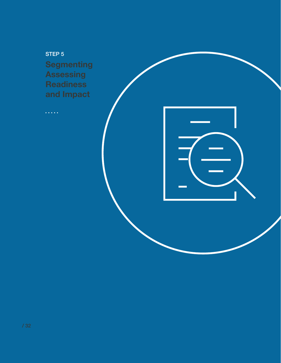STEP 5 **Segmenting Assessing Readiness** and Impact

 $\ddotsc$ 

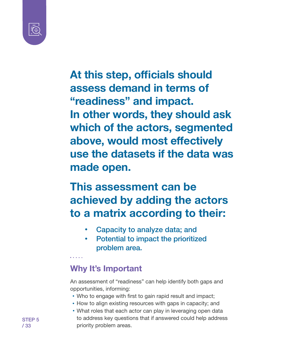

At this step, officials should assess demand in terms of "readiness" and impact. In other words, they should ask which of the actors, segmented above, would most effectively use the datasets if the data was made open.

# This assessment can be achieved by adding the actors to a matrix according to their:

- Capacity to analyze data; and
- Potential to impact the prioritized problem area.

# Why It's Important

An assessment of "readiness" can help identify both gaps and opportunities, informing:

- Who to engage with first to gain rapid result and impact;
- How to align existing resources with gaps in capacity; and
- What roles that each actor can play in leveraging open data to address key questions that if answered could help address priority problem areas.

STEP 5 / 33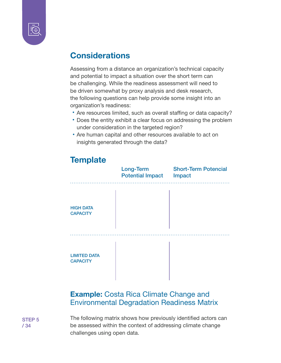

# **Considerations**

Assessing from a distance an organization's technical capacity and potential to impact a situation over the short term can be challenging. While the readiness assessment will need to be driven somewhat by proxy analysis and desk research, the following questions can help provide some insight into an organization's readiness:

- Are resources limited, such as overall staffing or data capacity?
- Does the entity exhibit a clear focus on addressing the problem under consideration in the targeted region?
- Are human capital and other resources available to act on insights generated through the data?

# **Template**



#### Example: Costa Rica Climate Change and Environmental Degradation Readiness Matrix

STEP 5 / 34

The following matrix shows how previously identified actors can be assessed within the context of addressing climate change challenges using open data.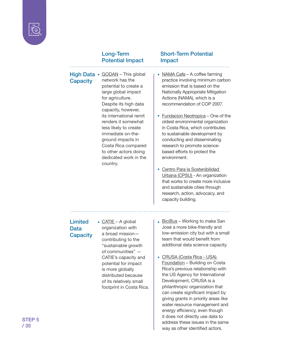

#### Long-Term Potential Impact

#### Short-Term Potential Impact

High Data • [GODAN](http://www.godan.info/) - This global **Capacity** network has the potential to create a large global impact for agriculture. Despite its high data capacity, however, its international remit renders it somewhat less likely to create immediate on-theground impacts in Costa Rica compared to other actors doing dedicated work in the country.

#### • [NAMA Cafe](http://www.namacafe.org/) – A coffee farming practice involving minimum carbon emission that is based on the Nationally Appropriate Mitigation Actions (NAMA), which is a recommendation of COP 2007.

- [Fundacion Neotropica](http://neotropica.org/en/who-we-are/history/) One of the oldest environmental organization in Costa Rica, which contributes to sustainable development by conducting and disseminating research to promote sciencebased efforts to protect the environment.
- [Centro Para la Sostenibilidad](https://cpsurbana.org/)  [Urbana \(CPSU\)](https://cpsurbana.org/) - An organization that works to create more inclusive and sustainable cities through research, action, advocacy, and capacity building.

#### **Limited Data Capacity**

- [CATIE](https://www.catie.ac.cr/en/what-is-catie/our-mission-vision-strategy-and-values.html) A global organization with a broad mission contributing to the "sustainable growth of communities" — CATIE's capacity and potential for impact is more globally distributed because of its relatively small footprint in Costa Rica.
- [BiciBus](https://www.facebook.com/BiciBusAlTrabajoEnBici/)  Working to make San José a more bike-friendly and low-emission city but with a small team that would benefit from additional data science capacity.
- CRUSA (Costa Rica USA) [Foundation](http://www.crusa.cr/) – Building on Costa Rica's previous relationship with the US Agency for International Development, CRUSA is a philanthropic organization that can create significant impact by giving grants in priority areas like water resource management and energy efficiency, even though it does not directly use data to address these issues in the same way as other identified actors.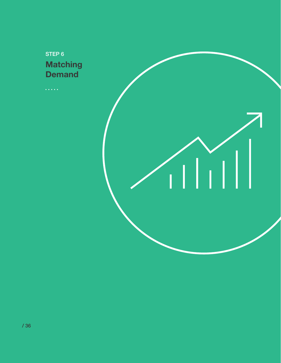# STEP 6 **Matching Demand**

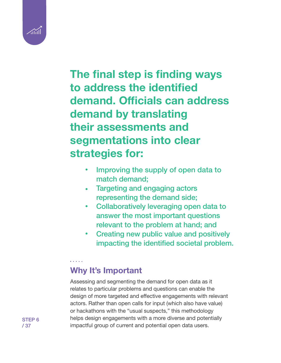

The final step is finding ways to address the identified demand. Officials can address demand by translating their assessments and segmentations into clear strategies for:

- Improving the supply of open data to match demand;
- Targeting and engaging actors representing the demand side;
- Collaboratively leveraging open data to  $\bullet$ answer the most important questions relevant to the problem at hand; and
- Creating new public value and positively impacting the identified societal problem.

# Why It's Important

. . . . .

Assessing and segmenting the demand for open data as it relates to particular problems and questions can enable the design of more targeted and effective engagements with relevant actors. Rather than open calls for input (which also have value) or hackathons with the "usual suspects," this methodology helps design engagements with a more diverse and potentially impactful group of current and potential open data users.

STEP 6 / 37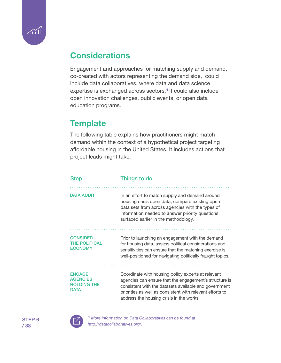

# **Considerations**

Engagement and approaches for matching supply and demand, co-created with actors representing the demand side, could include data collaboratives, where data and data science expertise is exchanged across sectors.<sup>1</sup> It could also include open innovation challenges, public events, or open data education programs.

# **Template**

The following table explains how practitioners might match demand within the context of a hypothetical project targeting affordable housing in the United States. It includes actions that project leads might take.

| <b>Step</b>                                                           | Things to do                                                                                                                                                                                                                                                                   |
|-----------------------------------------------------------------------|--------------------------------------------------------------------------------------------------------------------------------------------------------------------------------------------------------------------------------------------------------------------------------|
| <b>DATA AUDIT</b>                                                     | In an effort to match supply and demand around<br>housing crisis open data, compare existing open<br>data sets from across agencies with the types of<br>information needed to answer priority questions<br>surfaced earlier in the methodology.                               |
| <b>CONSIDER</b><br><b>THE POLITICAL</b><br><b>ECONOMY</b>             | Prior to launching an engagement with the demand<br>for housing data, assess political considerations and<br>sensitivities can ensure that the matching exercise is<br>well-positioned for navigating politically fraught topics.                                              |
| <b>ENGAGE</b><br><b>AGENCIES</b><br><b>HOLDING THE</b><br><b>DATA</b> | Coordinate with housing policy experts at relevant<br>agencies can ensure that the engagement's structure is<br>consistent with the datasets available and government<br>priorities as well as consistent with relevant efforts to<br>address the housing crisis in the works. |

STEP 6 / 38



<sup>1</sup>*More information on Data Collaboratives can be found at [http://datacollaboratives.org/.](http://datacollaboratives.org/)*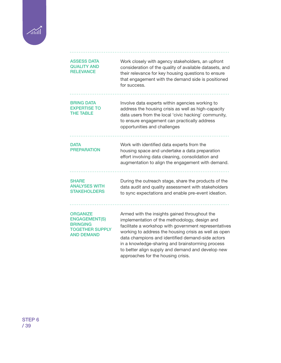

| <b>ASSESS DATA</b><br><b>QUALITY AND</b><br><b>RELEVANCE</b>                                              | Work closely with agency stakeholders, an upfront<br>consideration of the quality of available datasets, and<br>their relevance for key housing questions to ensure<br>that engagement with the demand side is positioned<br>for success.                                                                                                                                                                                                          |
|-----------------------------------------------------------------------------------------------------------|----------------------------------------------------------------------------------------------------------------------------------------------------------------------------------------------------------------------------------------------------------------------------------------------------------------------------------------------------------------------------------------------------------------------------------------------------|
| <b>BRING DATA</b><br><b>EXPERTISE TO</b><br><b>THE TABLE</b>                                              | Involve data experts within agencies working to<br>address the housing crisis as well as high-capacity<br>data users from the local 'civic hacking' community,<br>to ensure engagement can practically address<br>opportunities and challenges                                                                                                                                                                                                     |
| <b>DATA</b><br><b>PREPARATION</b>                                                                         | Work with identified data experts from the<br>housing space and undertake a data preparation<br>effort involving data cleaning, consolidation and<br>augmentation to align the engagement with demand.                                                                                                                                                                                                                                             |
| <b>SHARE</b><br><b>ANALYSES WITH</b><br><b>STAKEHOLDERS</b>                                               | During the outreach stage, share the products of the<br>data audit and quality assessment with stakeholders<br>to sync expectations and enable pre-event ideation.                                                                                                                                                                                                                                                                                 |
| <b>ORGANIZE</b><br><b>ENGAGEMENT(S)</b><br><b>BRINGING</b><br><b>TOGETHER SUPPLY</b><br><b>AND DEMAND</b> | Armed with the insights gained throughout the<br>implementation of the methodology, design and<br>facilitate a workshop with government representatives<br>working to address the housing crisis as well as open<br>the contract of the contract of the contract of the contract of the contract of the contract of the contract of the contract of the contract of the contract of the contract of the contract of the contract of the contract o |

data champions and identified demand-side actors in a knowledge-sharing and brainstorming process to better align supply and demand and develop new

approaches for the housing crisis.

STEP 6 / 39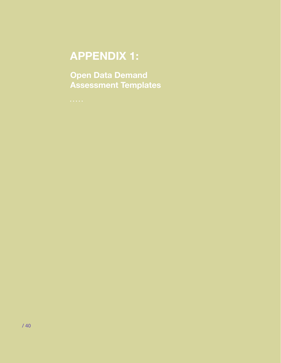# APPENDIX 1:

Open Data Demand Assessment Templates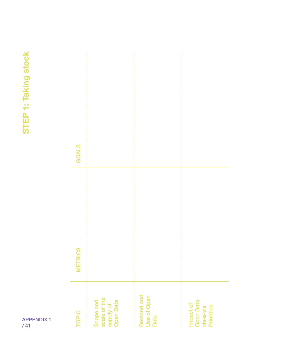# STEP 1: Taking stock STEP 1: Taking stock

| <b>TOPIC</b>                                           | <b>METRICS</b> | <b>GOALS</b> |
|--------------------------------------------------------|----------------|--------------|
| Scope and<br>scale of the<br>supply of<br>Open Data    |                |              |
| Demand and<br>Use of Open<br>Data<br>.                 |                |              |
| Impact of<br>Open Data<br>vis-a-vis<br>Priorities<br>. |                |              |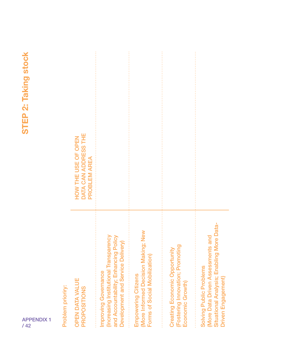# STEP 2: Taking stock STEP 2: Taking stock

| <b>OPEN DATA VALUE</b><br>Problem prioriry:                                                                                                       | HOW THE USE OF OPEN                  |
|---------------------------------------------------------------------------------------------------------------------------------------------------|--------------------------------------|
| PROPOSITIONS                                                                                                                                      | DATA CAN ADDRESS THE<br>PROBLEM AREA |
| <b>Increasing Institutional Transparency</b><br>and Accountability; Enhancing Policy<br>Development and Service Delivery)<br>Improving Governance |                                      |
| (More Informed Decision Making; New<br>Forms of Social Mobilization)<br>Empowering Citizens                                                       |                                      |
| Creating Economic Opportunity<br>(Fostering Innovation; Promoting<br>Economic Growth)                                                             |                                      |
| Situational Analysis; Enabling More Data-<br>More Data Driven Assessments and<br>Solving Public Problems<br>Driven Engagement)                    |                                      |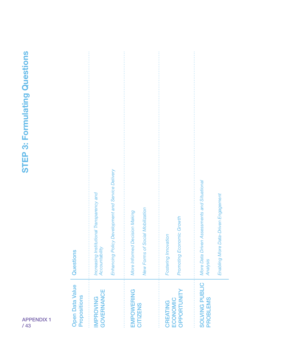# **STEP 3: Formulating Questions** STEP 3: Formulating Questions

| <b>Open Data Value</b><br>Propositions   | Questions                                                      |
|------------------------------------------|----------------------------------------------------------------|
| <b>GOVERNANCE</b><br><b>IMPROVING</b>    | Institutional Transparency and<br>Accountability<br>Increasing |
|                                          | Enhancing Policy Development and Service Delivery              |
| EMPOWERING                               | More Informed Decision Making                                  |
| CITIZENS                                 | New Forms of Social Mobilization                               |
| CREATING                                 | Fostering Innovation                                           |
| OPPORTUNITY<br>ECONOMIC                  | Promoting Economic Growth                                      |
| <b>SOLVING PUBLIC</b><br><b>PROBLEMS</b> | Driven Assessments and Situational<br>More Data<br>Analysis    |
|                                          | Enabling More Data-Driven Engagement                           |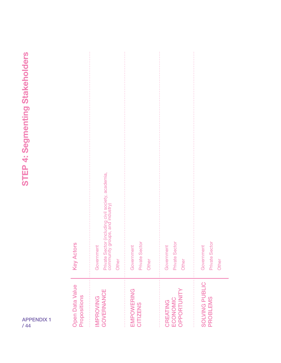# STEP 4: Segmenting Stakeholders STEP 4: Segmenting Stakeholders

| <b>Open Data Value</b><br>Propositions   | <b>Key Actors</b>                                                                                            |
|------------------------------------------|--------------------------------------------------------------------------------------------------------------|
| IMPROVING<br>GOVERNANCE                  | Private Sector (including civil society, academia,<br>community groups, and industry)<br>Government<br>Other |
| <b>EMPOWERING</b><br><b>CITIZENS</b>     | <b>Private Sector</b><br>Government<br>Other                                                                 |
| ECONOMIC<br>OPPORTUNITY<br>CREATING      | Private Sector<br>Government<br>Other                                                                        |
| <b>SOLVING PUBLIC</b><br><b>PROBLEMS</b> | Private Sector<br>Government<br>Other                                                                        |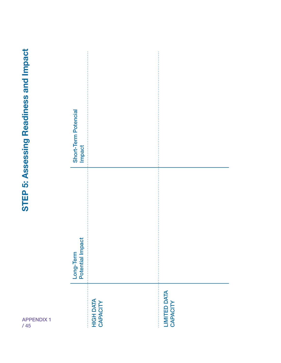# STEP 5: Assessing Readiness and Impact STEP 5: Assessing Readiness and Impact

|                                 | <b>pact</b><br>Long-Term<br>Potential Imp | Short-Term Potencial<br>Impact |
|---------------------------------|-------------------------------------------|--------------------------------|
| HIGH DATA<br>CAPACITY           |                                           |                                |
| <b>LIMITED DATA</b><br>CAPACITY |                                           |                                |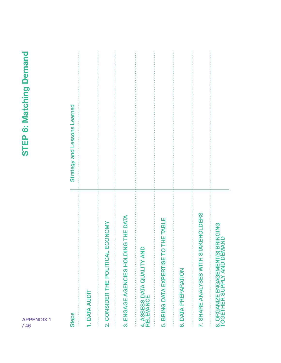# **STEP 6: Matching Demand** STEP 6: Matching Demand

| <b>Steps</b>                                                     | Strategy and Lessons Learned |
|------------------------------------------------------------------|------------------------------|
| 1. DATA AUDIT                                                    |                              |
| 2. CONSIDER THE POLITICAL ECONOMY                                |                              |
| 3. ENGAGE AGENCIES HOLDING THE DATA                              |                              |
| 4. ASSESS DATA QUALITY AND<br>RELEVANCE                          |                              |
| 5. BRING DATA EXPERTISE TO THE TABLE                             |                              |
| 6. DATA PREPARATION                                              |                              |
| 7. SHARE ANALYSES WITH STAKEHOLDERS                              |                              |
| 8. ORGANIZE ENGAGEMENT(S) BRINGING<br>TOGETHER SUPPLY AND DEMAND |                              |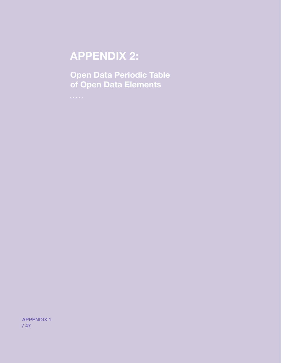# APPENDIX 2:

Open Data Periodic Table of Open Data Elements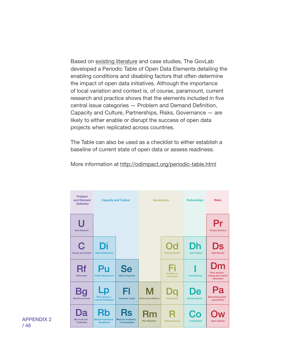Based on [existing literature](http://odimpact.org/files/odimpact-developing-economies-appendices.pdf) and [case studies,](http://odimpact.org/index.html#explore) The GovLab developed a Periodic Table of Open Data Elements detailing the enabling conditions and disabling factors that often determine the impact of open data initiatives. Although the importance of local variation and context is, of course, paramount, current research and practice shows that the elements included in five central issue categories — Problem and Demand Definition, Capacity and Culture, Partnerships, Risks, Governance — are likely to either enable or disrupt the success of open data projects when replicated across countries.

The Table can also be used as a checklist to either establish a baseline of current state of open data or assess readiness.

More information at http://odimpact.org/periodic-table.html

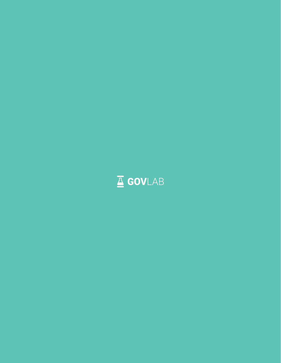